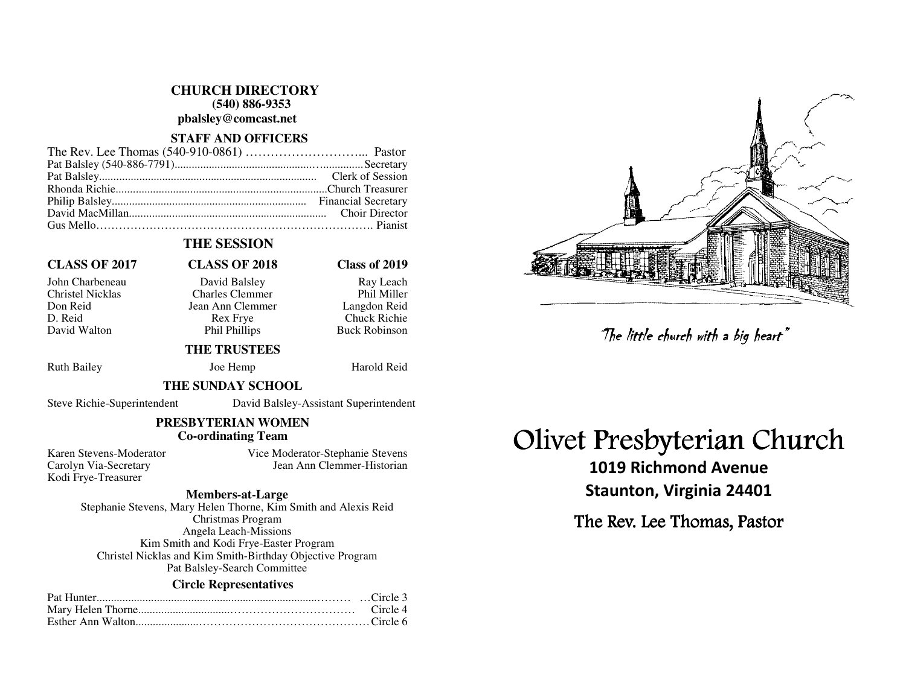**CHURCH DIRECTORY (540) 886-9353 pbalsley@comcast.net** 

#### **STAFF AND OFFICERS**

# **THE SESSION**

# **CLASS OF 2017 CLASS OF 2018 Class of 2019**

John Charbeneau David Balsley Ray Leach Charles Clemmer Don Reid Jean Ann Clemmer<br>D. Reid Rex Frye D. Reid Rex Frye Chuck Richie David Walton **Phil Phillips** Buck Robinson

Phil Miller Langdon Reid

# **THE TRUSTEES**

Ruth Bailey Joe Hemp Harold Reid

#### **THE SUNDAY SCHOOL**

Steve Richie-Superintendent David Balsley-Assistant Superintendent

## **PRESBYTERIAN WOMEN Co-ordinating Team**

Kodi Frye-Treasurer

Karen Stevens-Moderator Vice Moderator-Stephanie Stevens Carolyn Via-Secretary Jean Ann Clemmer-Historian

#### **Members-at-Large**

 Stephanie Stevens, Mary Helen Thorne, Kim Smith and Alexis Reid Christmas Program Angela Leach-Missions Kim Smith and Kodi Frye-Easter Program Christel Nicklas and Kim Smith-Birthday Objective Program Pat Balsley-Search Committee

## **Circle Representatives**



# Olivet Presbyterian Church

1019 Richmond Avenue Staunton, Virginia 24401 The little church with a big heart"<br>Presbyterian Chi<br>019 Richmond Avenue<br>aunton, Virginia 24401<br>: Rev. Lee Thomas, Pastor

The Rev. Lee Thomas, Pastor